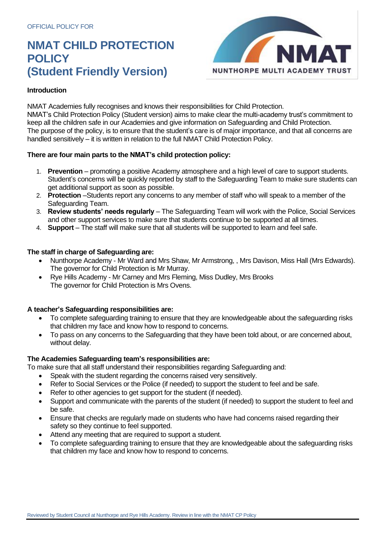# **NMAT CHILD PROTECTION POLICY (Student Friendly Version)** NUNTHORPE MULTI ACADEMY TRUST



# **Introduction**

NMAT Academies fully recognises and knows their responsibilities for Child Protection. NMAT's Child Protection Policy (Student version) aims to make clear the multi-academy trust's commitment to keep all the children safe in our Academies and give information on Safeguarding and Child Protection. The purpose of the policy, is to ensure that the student's care is of major importance, and that all concerns are handled sensitively – it is written in relation to the full NMAT Child Protection Policy.

# **There are four main parts to the NMAT's child protection policy:**

- 1. **Prevention**  promoting a positive Academy atmosphere and a high level of care to support students. Student's concerns will be quickly reported by staff to the Safeguarding Team to make sure students can get additional support as soon as possible.
- 2. **Protection** –Students report any concerns to any member of staff who will speak to a member of the Safeguarding Team.
- 3. **Review students' needs regularly** The Safeguarding Team will work with the Police, Social Services and other support services to make sure that students continue to be supported at all times.
- 4. **Support**  The staff will make sure that all students will be supported to learn and feel safe.

# **The staff in charge of Safeguarding are:**

- Nunthorpe Academy Mr Ward and Mrs Shaw, Mr Armstrong, , Mrs Davison, Miss Hall (Mrs Edwards). The governor for Child Protection is Mr Murray.
- Rye Hills Academy Mr Carney and Mrs Fleming, Miss Dudley, Mrs Brooks The governor for Child Protection is Mrs Ovens.

#### **A teacher's Safeguarding responsibilities are:**

- To complete safeguarding training to ensure that they are knowledgeable about the safeguarding risks that children my face and know how to respond to concerns.
- To pass on any concerns to the Safeguarding that they have been told about, or are concerned about, without delay.

#### **The Academies Safeguarding team's responsibilities are:**

To make sure that all staff understand their responsibilities regarding Safeguarding and:

- Speak with the student regarding the concerns raised very sensitively.
- Refer to Social Services or the Police (if needed) to support the student to feel and be safe.
- Refer to other agencies to get support for the student (if needed).
- Support and communicate with the parents of the student (if needed) to support the student to feel and be safe.
- Ensure that checks are regularly made on students who have had concerns raised regarding their safety so they continue to feel supported.
- Attend any meeting that are required to support a student.
- To complete safeguarding training to ensure that they are knowledgeable about the safeguarding risks that children my face and know how to respond to concerns.